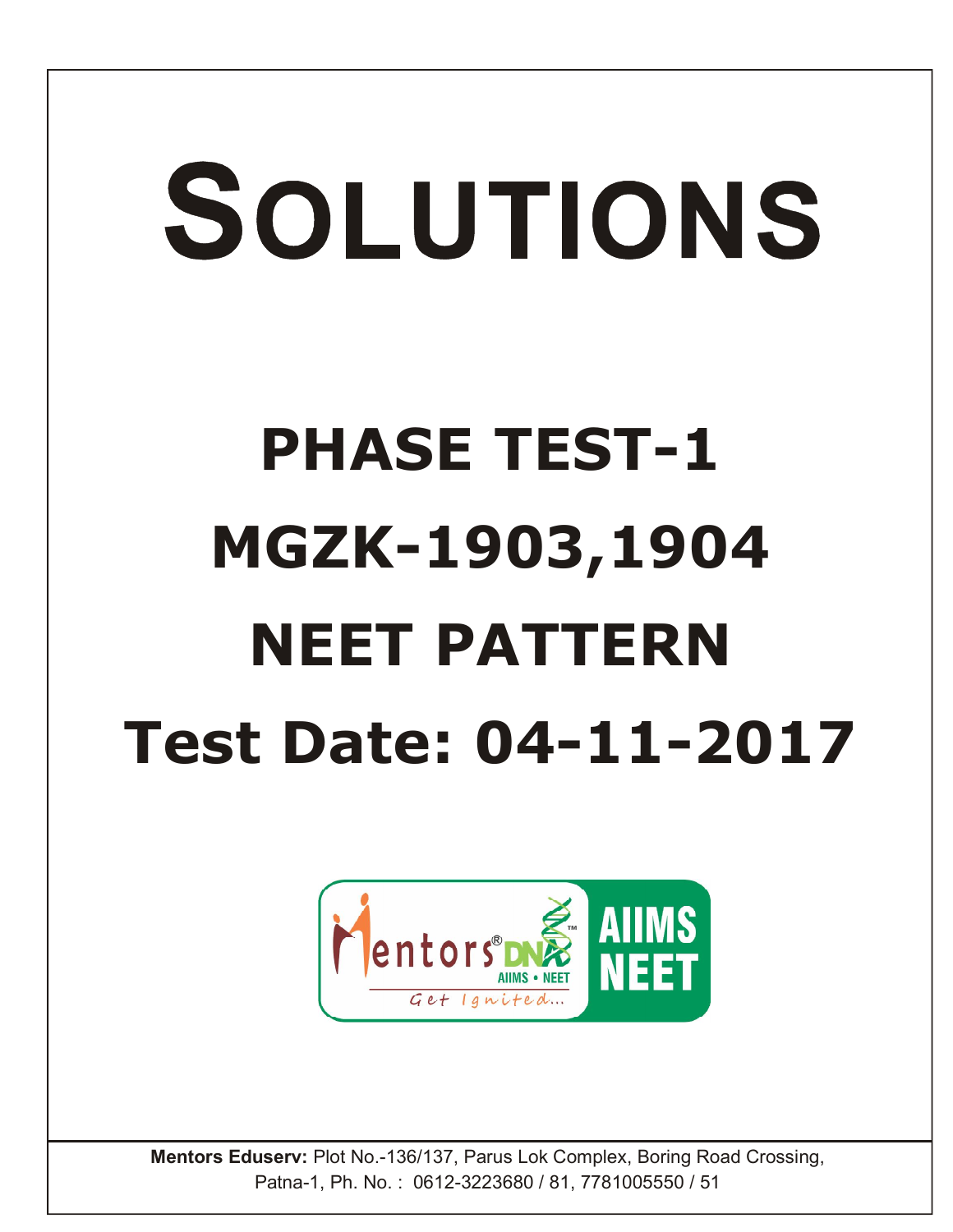## SOLUTIONS **PHASE TEST-1 MGZK-1903,1904 NEET PATTERN Test Date: 04-11-2017**



**Mentors Eduserv:** Plot No.-136/137, Parus Lok Complex, Boring Road Crossing, Patna-1, Ph. No. : 0612-3223680 / 81, 7781005550 / 51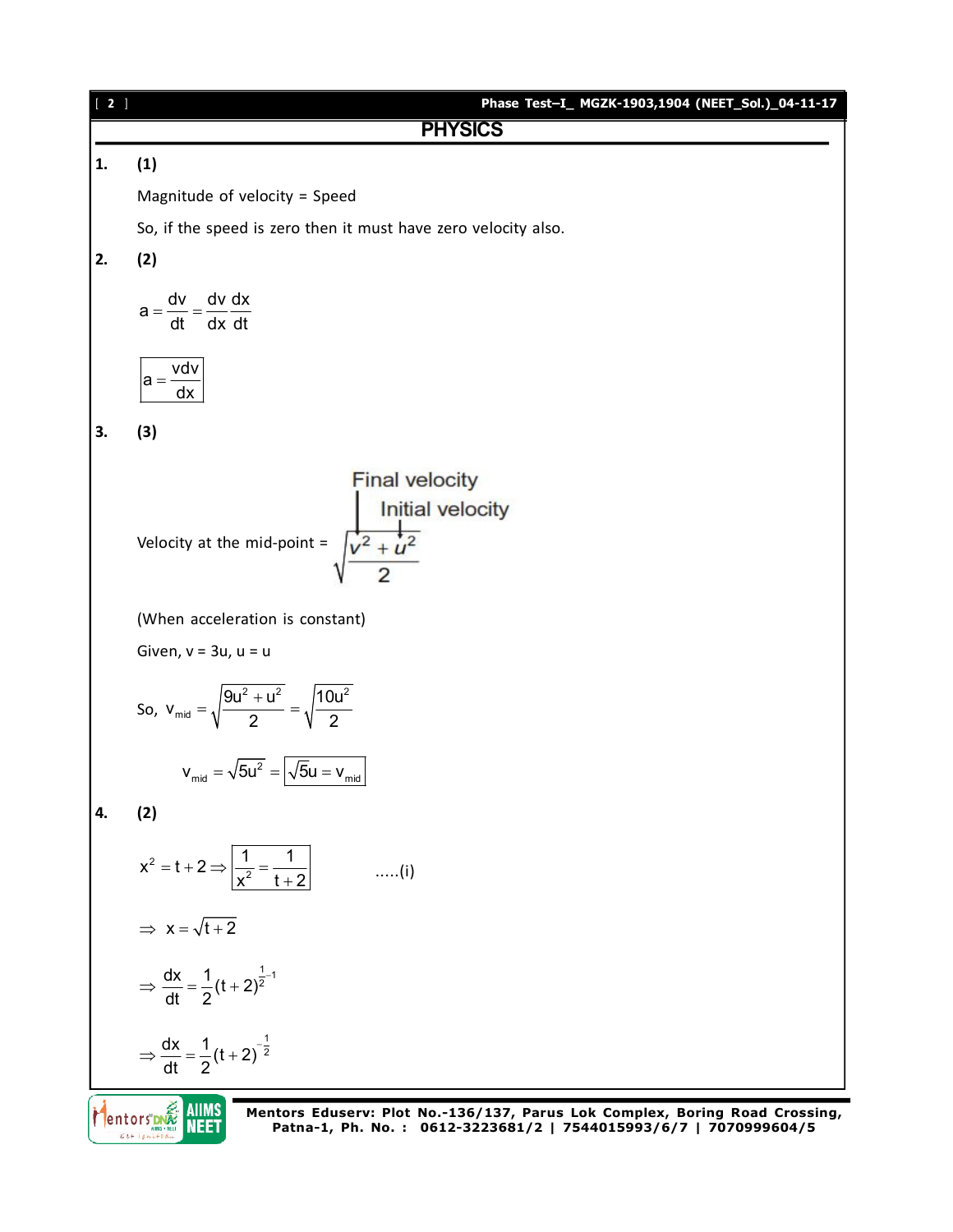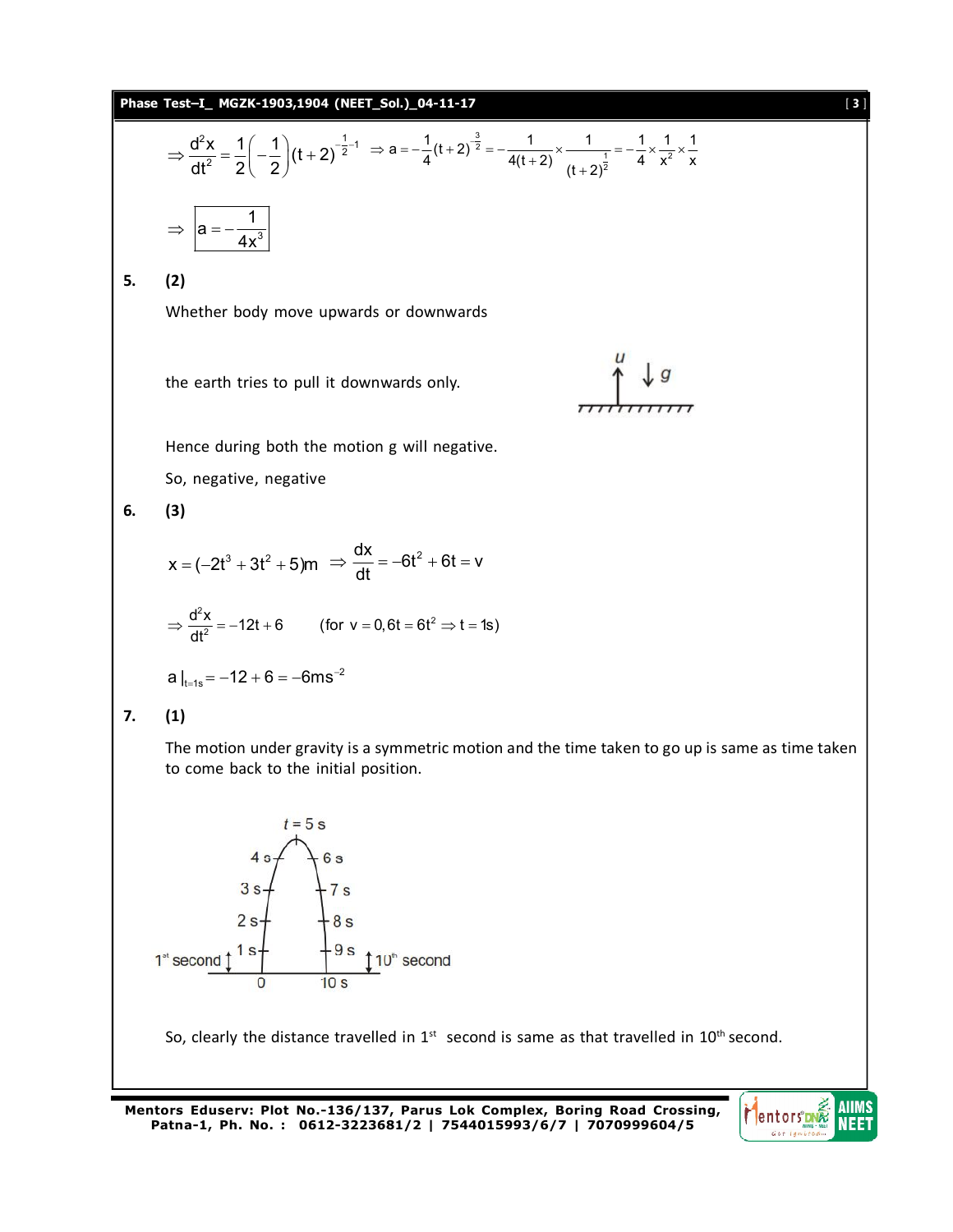

**Mentors Eduserv: Plot No.-136/137, Parus Lok Complex, Boring Road Crossing, Patna-1, Ph. No. : 0612-3223681/2 | 7544015993/6/7 | 7070999604/5**

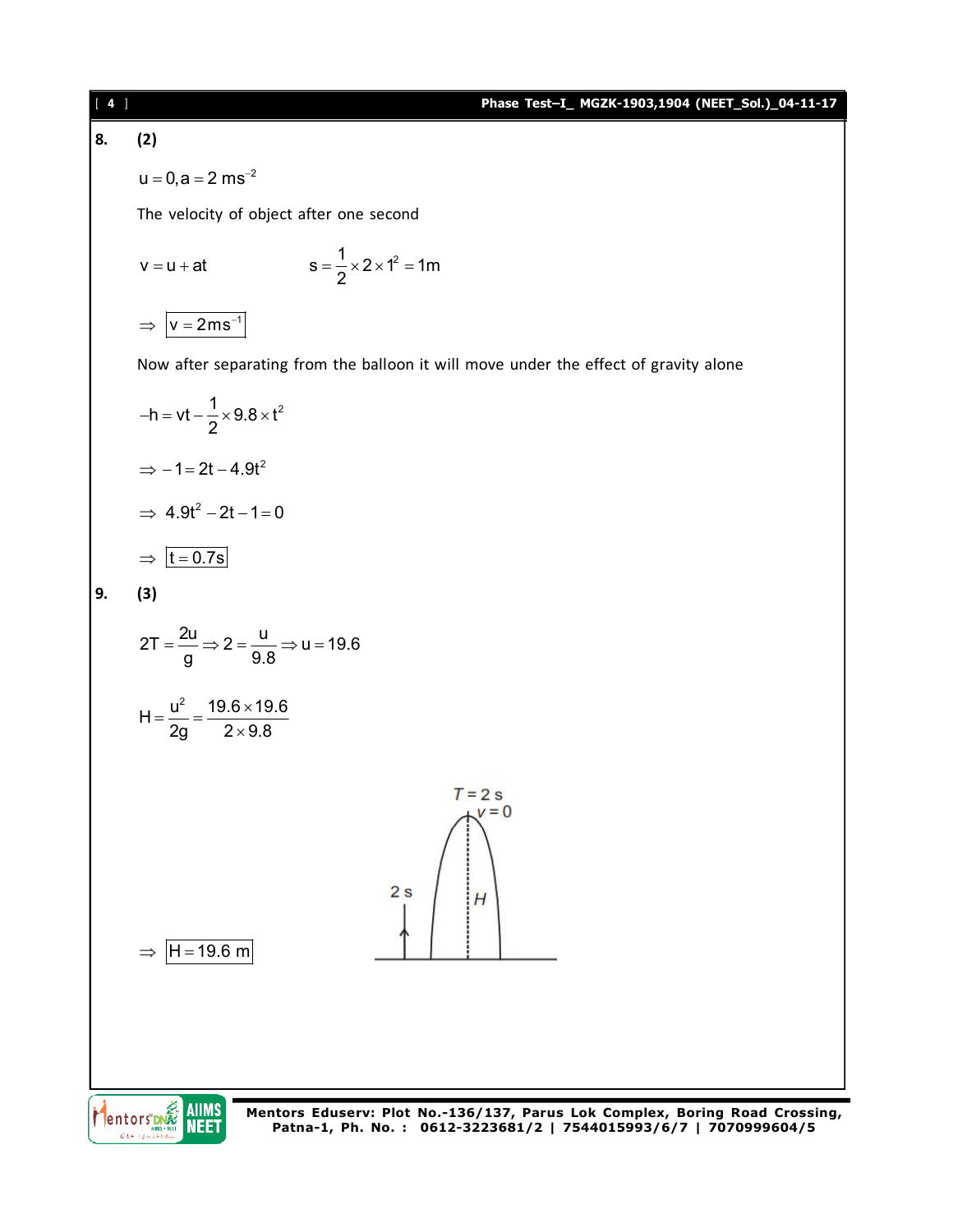## [ **4** ] **Phase Test–I\_ MGZK-1903,1904 (NEET\_Sol.)\_04-11-17**

## **8. (2)**

 $u = 0, a = 2$  ms<sup>-2</sup>

The velocity of object after one second

$$
v = u + at
$$
  $s = \frac{1}{2} \times 2 \times 1^2 = 1m$ 

 $\Rightarrow$   $|v = 2ms^{-1}$ 

Now after separating from the balloon it will move under the effect of gravity alone

$$
-h = vt - \frac{1}{2} \times 9.8 \times t^2
$$

$$
\Rightarrow -1 = 2t - 4.9t^2
$$

$$
\Rightarrow 4.9t^2 - 2t - 1 = 0
$$

$$
\Rightarrow \boxed{t = 0.7s}
$$

$$
9. (3)
$$

$$
2T = \frac{2u}{g} \Rightarrow 2 = \frac{u}{9.8} \Rightarrow u = 19.6
$$

$$
H = \frac{u^2}{2g} = \frac{19.6 \times 19.6}{2 \times 9.8}
$$

 $\Rightarrow$  H = 19.6 m

Mentors DNA AIIMS  $Gt+14$ 

**Mentors Eduserv: Plot No.-136/137, Parus Lok Complex, Boring Road Crossing, Patna-1, Ph. No. : 0612-3223681/2 | 7544015993/6/7 | 7070999604/5**

 $T = 2s$  $V = 0$ 

 $H$ 

 $2s$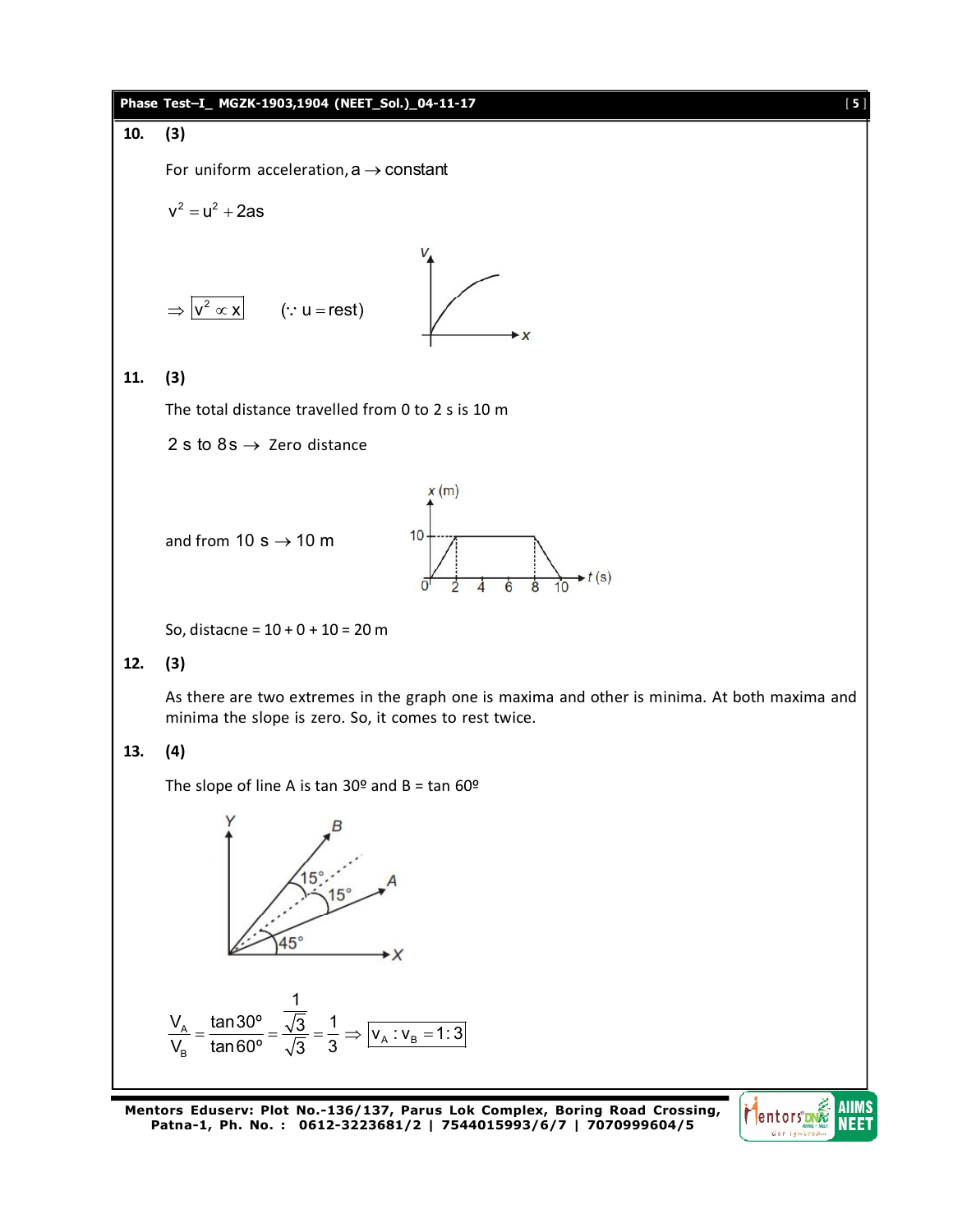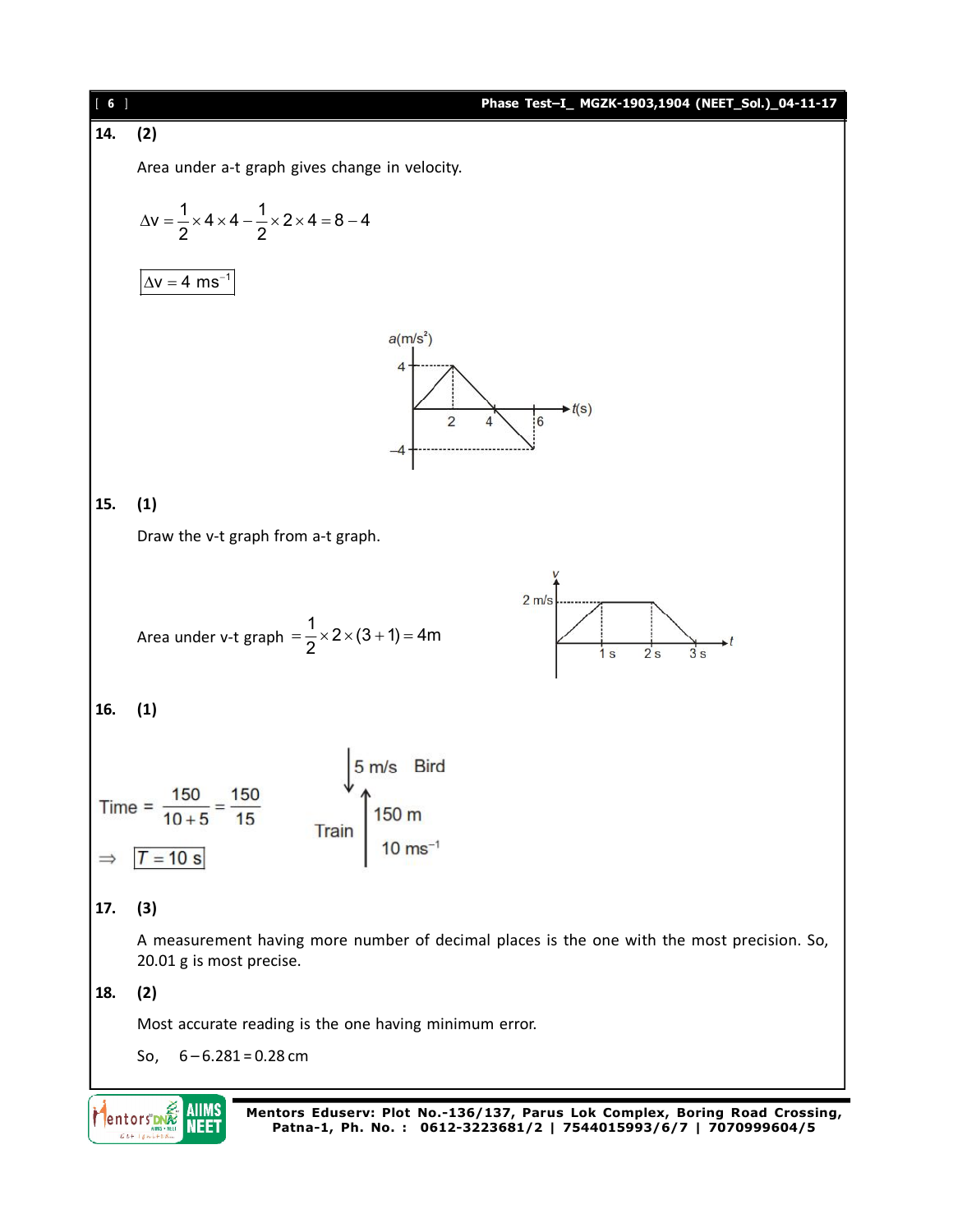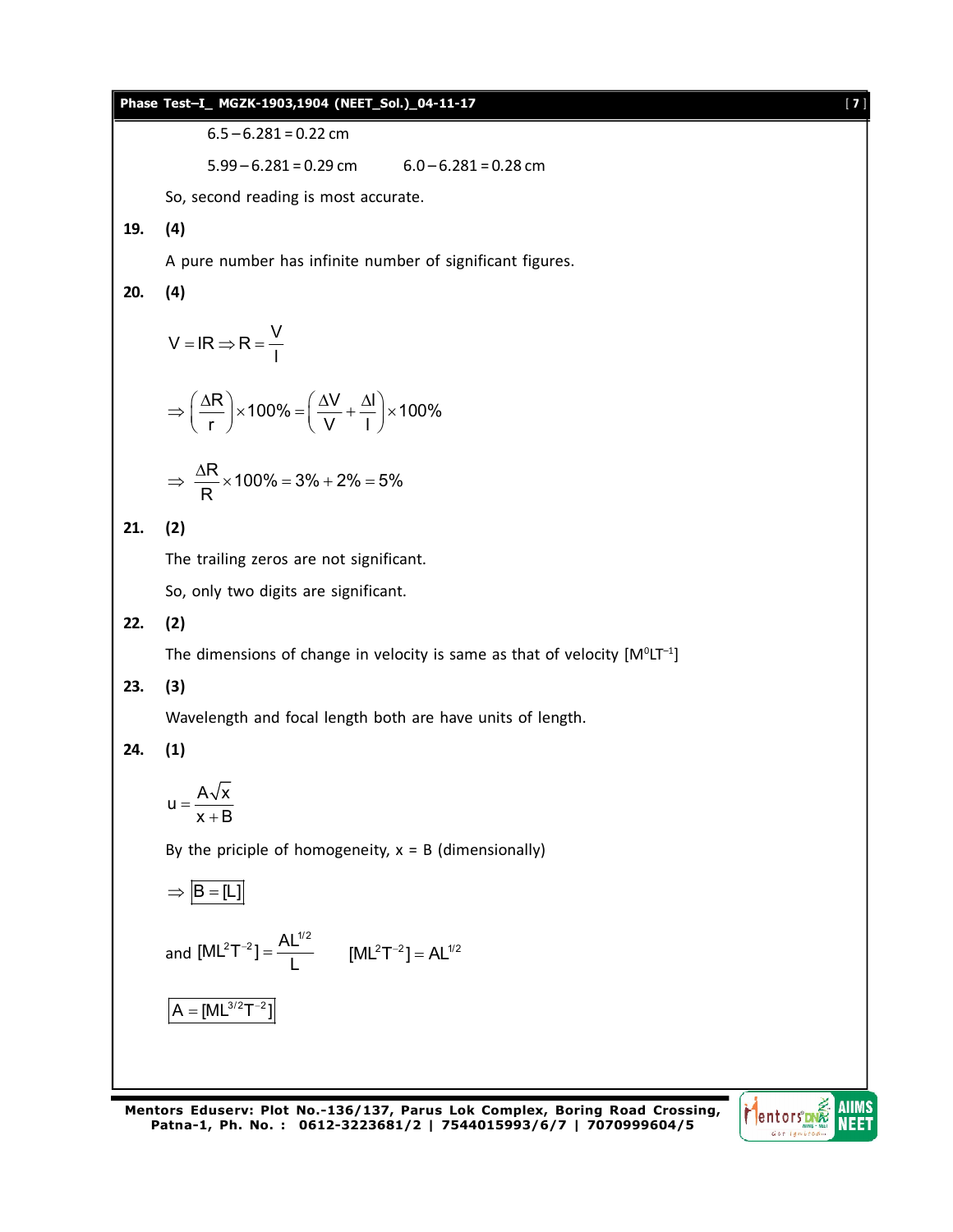

**Patna-1, Ph. No. : 0612-3223681/2 | 7544015993/6/7 | 7070999604/5**

**AIIMS Mentors** NEET  $C + I$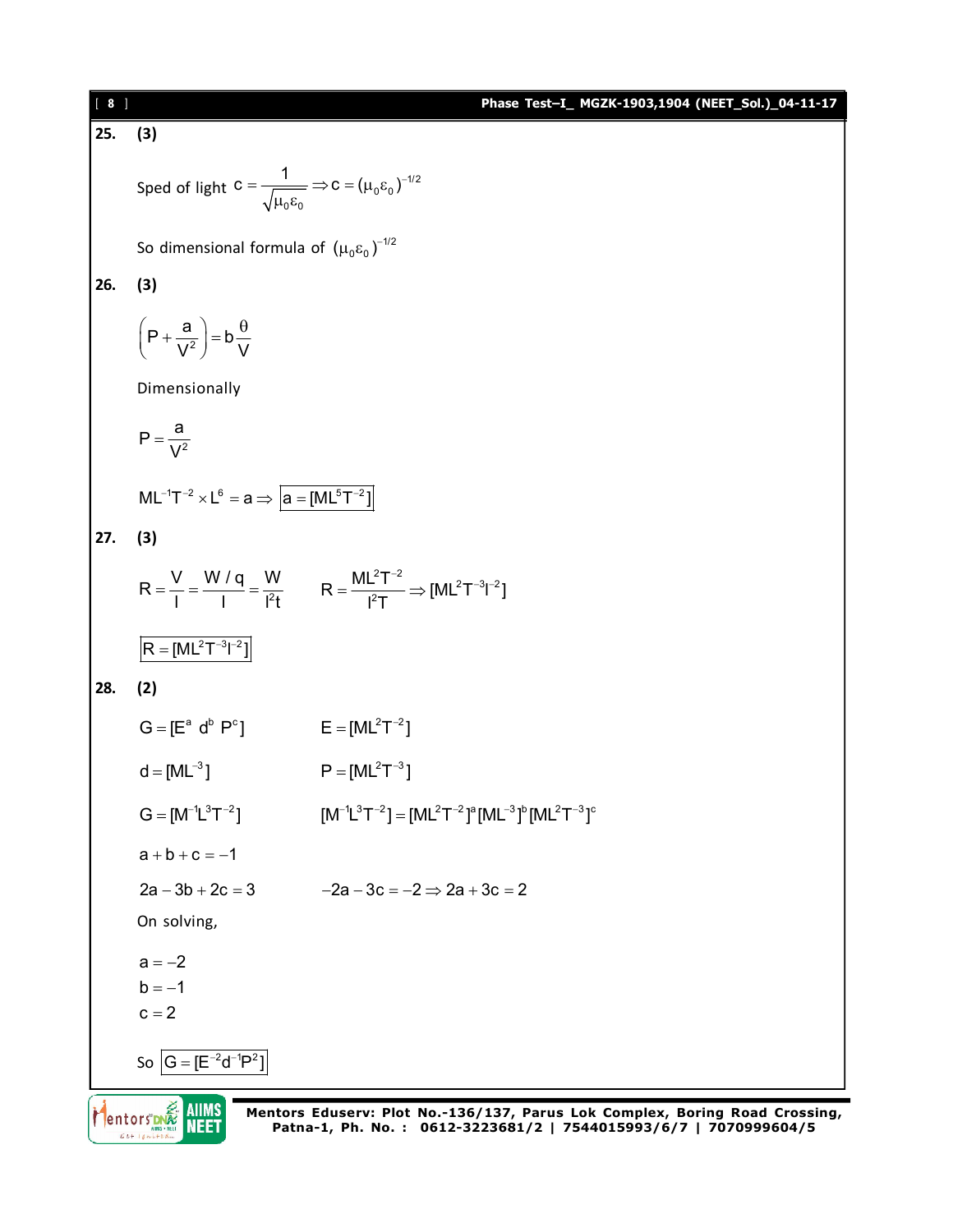| $[ 8 ]$                                                       |                                                                                                 | Phase Test-I_ MGZK-1903,1904 (NEET_Sol.)_04-11-17                                                                                               |  |  |  |  |  |  |  |
|---------------------------------------------------------------|-------------------------------------------------------------------------------------------------|-------------------------------------------------------------------------------------------------------------------------------------------------|--|--|--|--|--|--|--|
| 25.                                                           | (3)                                                                                             |                                                                                                                                                 |  |  |  |  |  |  |  |
|                                                               | Sped of light $C = \frac{1}{\sqrt{\mu_0 \epsilon_0}} \Rightarrow C = (\mu_0 \epsilon_0)^{-1/2}$ |                                                                                                                                                 |  |  |  |  |  |  |  |
|                                                               | So dimensional formula of $(\mu_0 \varepsilon_0)^{-1/2}$                                        |                                                                                                                                                 |  |  |  |  |  |  |  |
| 26.                                                           | (3)                                                                                             |                                                                                                                                                 |  |  |  |  |  |  |  |
|                                                               | $\left(P+\frac{a}{V^2}\right)=b\frac{\theta}{V}$                                                |                                                                                                                                                 |  |  |  |  |  |  |  |
|                                                               | Dimensionally                                                                                   |                                                                                                                                                 |  |  |  |  |  |  |  |
|                                                               | $P = \frac{a}{\sqrt{2}}$                                                                        |                                                                                                                                                 |  |  |  |  |  |  |  |
| $ML^{-1}T^{-2} \times L^6 = a \Rightarrow  a = [ML^5T^{-2}] $ |                                                                                                 |                                                                                                                                                 |  |  |  |  |  |  |  |
| 27.                                                           | (3)                                                                                             |                                                                                                                                                 |  |  |  |  |  |  |  |
|                                                               |                                                                                                 | $R = \frac{V}{I} = \frac{W / q}{I} = \frac{W}{I^2 t}$ $R = \frac{ML^2 T^{-2}}{I^2 T} \Rightarrow [ML^2 T^{-3} I^{-2}]$                          |  |  |  |  |  |  |  |
|                                                               | $R = [ML^2T^{-3}l^{-2}]$                                                                        |                                                                                                                                                 |  |  |  |  |  |  |  |
| 28.                                                           | (2)                                                                                             |                                                                                                                                                 |  |  |  |  |  |  |  |
|                                                               | $G = [E^a \ d^b \ P^c]$                                                                         | $E = [ML^2T^{-2}]$                                                                                                                              |  |  |  |  |  |  |  |
|                                                               | $d = [ML^{-3}]$                                                                                 | $P = [ML^2T^{-3}]$                                                                                                                              |  |  |  |  |  |  |  |
|                                                               | $G = [M^{-1}L^{3}T^{-2}]$                                                                       | $[M^{-1}L^{3}T^{-2}] = [ML^{2}T^{-2}]^{a}[ML^{-3}]^{b}[ML^{2}T^{-3}]^{c}$                                                                       |  |  |  |  |  |  |  |
|                                                               | $a + b + c = -1$                                                                                |                                                                                                                                                 |  |  |  |  |  |  |  |
|                                                               | $2a - 3b + 2c = 3$                                                                              | $-2a-3c=-2 \Rightarrow 2a+3c=2$                                                                                                                 |  |  |  |  |  |  |  |
|                                                               | On solving,                                                                                     |                                                                                                                                                 |  |  |  |  |  |  |  |
|                                                               | $a = -2$                                                                                        |                                                                                                                                                 |  |  |  |  |  |  |  |
|                                                               | $b = -1$<br>$c = 2$                                                                             |                                                                                                                                                 |  |  |  |  |  |  |  |
|                                                               |                                                                                                 |                                                                                                                                                 |  |  |  |  |  |  |  |
|                                                               | So $ G = [E^{-2}d^{-1}P^2]$                                                                     |                                                                                                                                                 |  |  |  |  |  |  |  |
|                                                               | AIIMS<br><b>Flentors DNA</b><br>NEET                                                            | Mentors Eduserv: Plot No.-136/137, Parus Lok Complex, Boring Road Crossing,<br>Patna-1, Ph. No.: 0612-3223681/2   7544015993/6/7   7070999604/5 |  |  |  |  |  |  |  |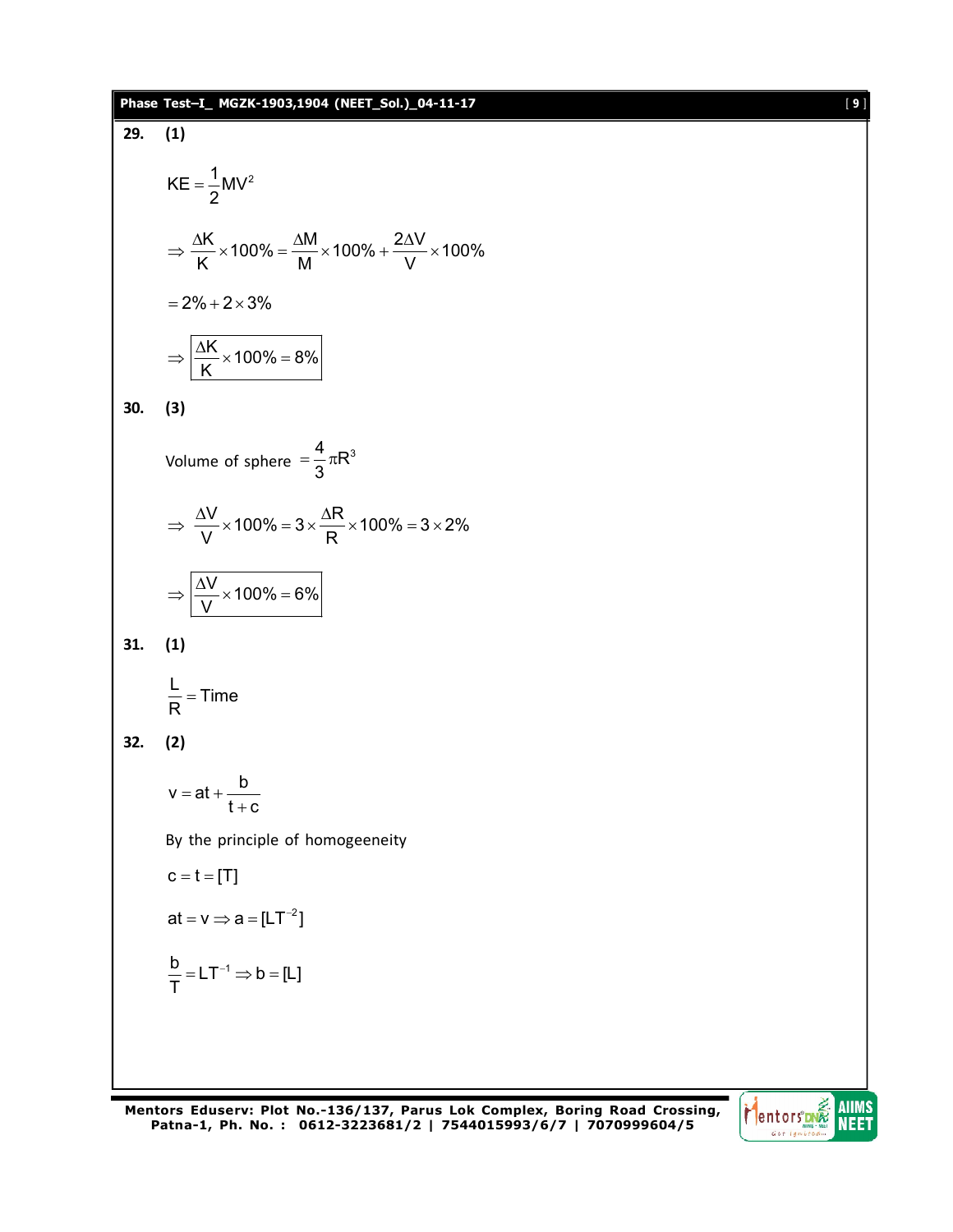## **Phase Test–I\_ MGZK-1903,1904 (NEET\_Sol.)\_04-11-17** [ **9** ]

29. (1)  
\n
$$
KE = \frac{1}{2}MV^2
$$
\n
$$
\Rightarrow \frac{\Delta K}{K} \times 100\% = \frac{\Delta M}{M} \times 100\% + \frac{2\Delta V}{V} \times 100\% = 2\% + 2 \times 3\%
$$
\n
$$
\Rightarrow \frac{\Delta K}{K} \times 100\% = 8\%
$$
\n30. (3)  
\nVolume of sphere =  $\frac{4}{3}\pi R^3$   
\n
$$
\Rightarrow \frac{\Delta V}{V} \times 100\% = 3 \times \frac{\Delta R}{R} \times 100\% = 3 \times 2\%
$$
\n
$$
\Rightarrow \frac{\Delta V}{V} \times 100\% = 6\%
$$
\n31. (1)  
\n
$$
\frac{L}{R} = Time
$$
\n32. (2)  
\n
$$
v = at + \frac{b}{t+c}
$$
\nBy the principle of homogeneity  
\n
$$
c = t = [T]
$$
\nat =  $v \Rightarrow a = [LT^{-2}]$   
\n
$$
\frac{b}{T} = LT^{-1} \Rightarrow b = [L]
$$

**Mentors Eduserv: Plot No.-136/137, Parus Lok Complex, Boring Road Crossing, Patna-1, Ph. No. : 0612-3223681/2 | 7544015993/6/7 | 7070999604/5**

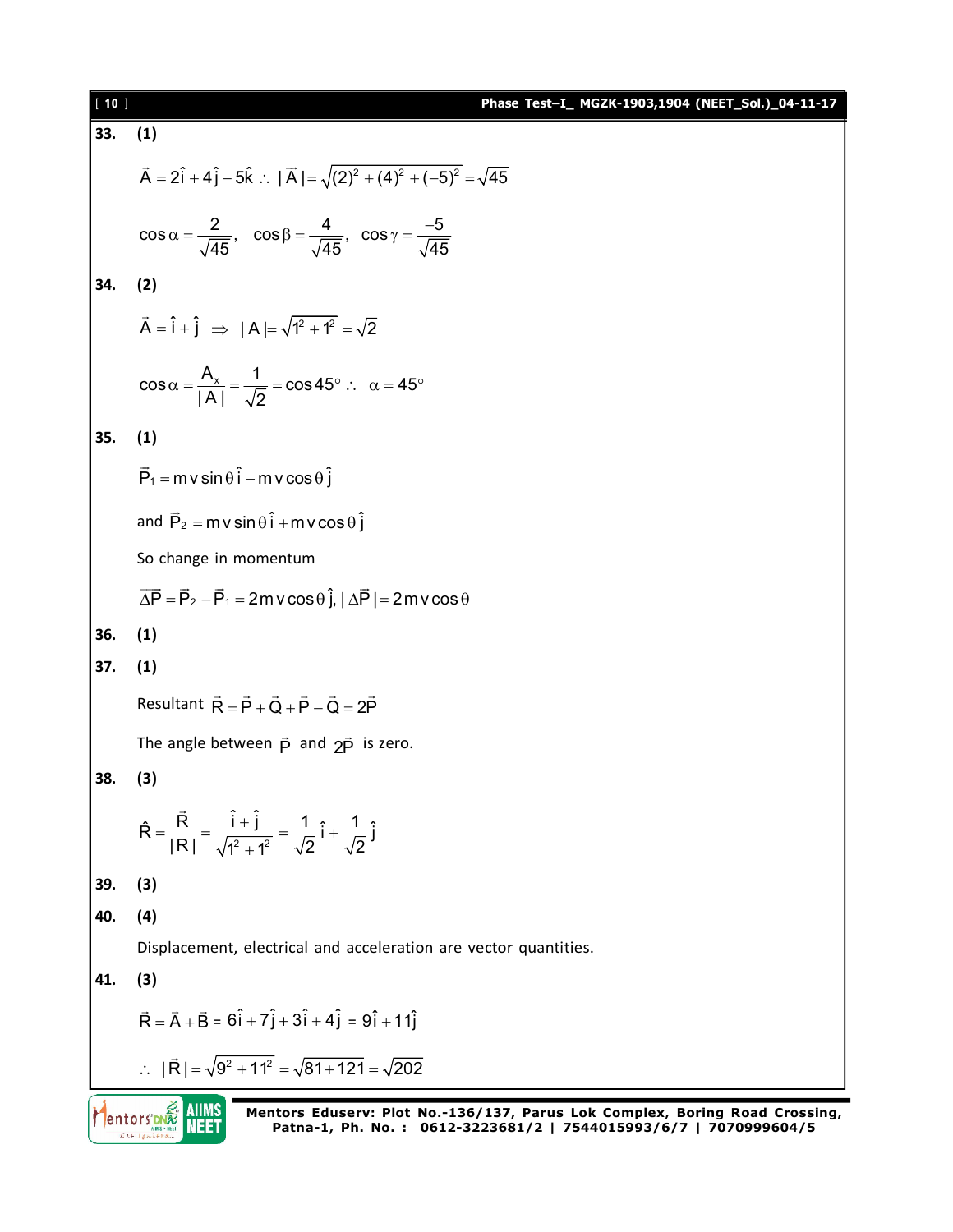| $[10]$ | Phase Test-I_ MGZK-1903,1904 (NEET_Sol.)_04-11-17                                                                                                           |  |  |  |  |  |  |  |  |  |
|--------|-------------------------------------------------------------------------------------------------------------------------------------------------------------|--|--|--|--|--|--|--|--|--|
| 33.    | (1)                                                                                                                                                         |  |  |  |  |  |  |  |  |  |
|        | $\vec{A} = 2\hat{i} + 4\hat{j} - 5\hat{k}$ : $ \vec{A}  = \sqrt{(2)^2 + (4)^2 + (-5)^2} = \sqrt{45}$                                                        |  |  |  |  |  |  |  |  |  |
|        | $\cos \alpha = \frac{2}{\sqrt{45}}$ , $\cos \beta = \frac{4}{\sqrt{45}}$ , $\cos \gamma = \frac{-5}{\sqrt{45}}$                                             |  |  |  |  |  |  |  |  |  |
| 34.    | (2)                                                                                                                                                         |  |  |  |  |  |  |  |  |  |
|        | $\vec{A} = \hat{i} + \hat{j} \implies  A  = \sqrt{1^2 + 1^2} = \sqrt{2}$                                                                                    |  |  |  |  |  |  |  |  |  |
|        | $\cos\alpha = \frac{A_x}{ A } = \frac{1}{\sqrt{2}} = \cos 45^\circ$ : $\alpha = 45^\circ$                                                                   |  |  |  |  |  |  |  |  |  |
| 35.    | (1)                                                                                                                                                         |  |  |  |  |  |  |  |  |  |
|        | $\vec{P}_1 = m v \sin \theta \hat{i} - m v \cos \theta \hat{j}$                                                                                             |  |  |  |  |  |  |  |  |  |
|        | and $\vec{P}_2 = m v \sin \theta \hat{i} + m v \cos \theta \hat{j}$                                                                                         |  |  |  |  |  |  |  |  |  |
|        | So change in momentum                                                                                                                                       |  |  |  |  |  |  |  |  |  |
|        | $\overrightarrow{\Delta P} = \overrightarrow{P}_2 - \overrightarrow{P}_1 = 2m$ v cos $\theta$ $\hat{j}$ , $ \Delta \overrightarrow{P}  = 2m$ v cos $\theta$ |  |  |  |  |  |  |  |  |  |
| 36.    | (1)                                                                                                                                                         |  |  |  |  |  |  |  |  |  |
| 37.    | (1)                                                                                                                                                         |  |  |  |  |  |  |  |  |  |
|        | Resultant $\vec{R} = \vec{P} + \vec{Q} + \vec{P} - \vec{Q} = 2\vec{P}$                                                                                      |  |  |  |  |  |  |  |  |  |
|        | The angle between $\vec{p}$ and $2\vec{p}$ is zero.                                                                                                         |  |  |  |  |  |  |  |  |  |
| 38.    | (3)                                                                                                                                                         |  |  |  |  |  |  |  |  |  |
|        | $\hat{R} = \frac{\vec{R}}{ R } = \frac{\hat{i} + \hat{j}}{\sqrt{1^2 + 1^2}} = \frac{1}{\sqrt{2}}\hat{i} + \frac{1}{\sqrt{2}}\hat{j}$                        |  |  |  |  |  |  |  |  |  |
| 39.    | (3)                                                                                                                                                         |  |  |  |  |  |  |  |  |  |
| 40.    | (4)                                                                                                                                                         |  |  |  |  |  |  |  |  |  |
|        | Displacement, electrical and acceleration are vector quantities.                                                                                            |  |  |  |  |  |  |  |  |  |
| 41.    | (3)                                                                                                                                                         |  |  |  |  |  |  |  |  |  |
|        | $\vec{R} = \vec{A} + \vec{B} = 6\hat{i} + 7\hat{j} + 3\hat{i} + 4\hat{j} = 9\hat{i} + 11\hat{j}$                                                            |  |  |  |  |  |  |  |  |  |
|        | : $ \vec{R}  = \sqrt{9^2 + 11^2} = \sqrt{81 + 121} = \sqrt{202}$                                                                                            |  |  |  |  |  |  |  |  |  |
|        | Mentors Eduserv: Plot No.-136/137, Parus Lok Complex, Boring Road Crossing,<br>Patna-1, Ph. No.: 0612-3223681/2   7544015993/6/7   7070999604/5             |  |  |  |  |  |  |  |  |  |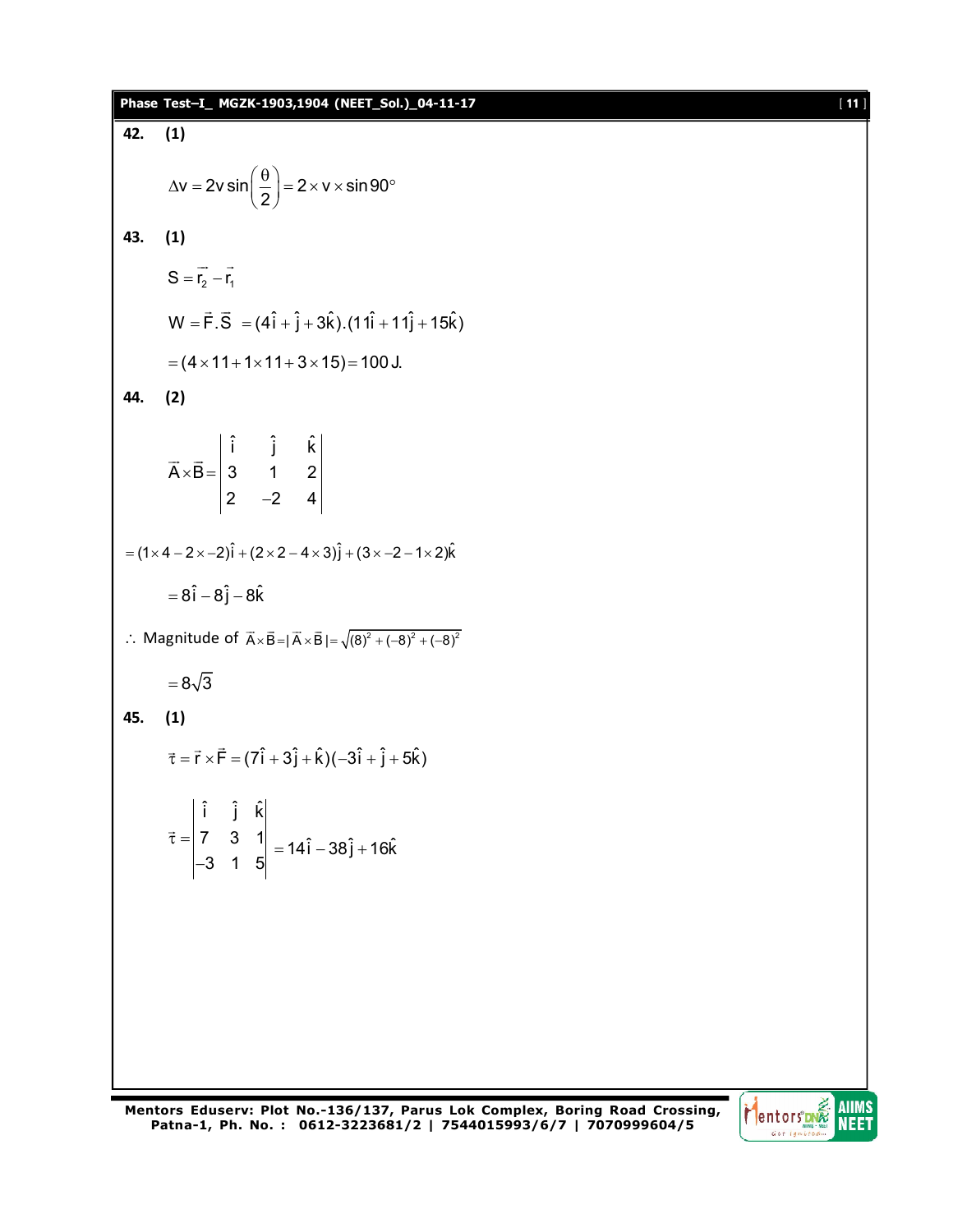|     | Phase Test-I_ MGZK-1903,1904 (NEET_Sol.)_04-11-17                                                                                       | $[11]$ |  |  |  |  |  |  |
|-----|-----------------------------------------------------------------------------------------------------------------------------------------|--------|--|--|--|--|--|--|
| 42. | (1)                                                                                                                                     |        |  |  |  |  |  |  |
|     | $\Delta v = 2v \sin \left( \frac{\theta}{2} \right) = 2 \times v \times \sin 90^{\circ}$                                                |        |  |  |  |  |  |  |
| 43. | (1)                                                                                                                                     |        |  |  |  |  |  |  |
|     | $S = \vec{r}_2 - \vec{r}_1$                                                                                                             |        |  |  |  |  |  |  |
|     | $W = \vec{F} \cdot \vec{S} = (4\hat{i} + \hat{j} + 3\hat{k}).(11\hat{i} + 11\hat{j} + 15\hat{k})$                                       |        |  |  |  |  |  |  |
|     | $= (4 \times 11 + 1 \times 11 + 3 \times 15) = 100$ J.                                                                                  |        |  |  |  |  |  |  |
| 44. | (2)                                                                                                                                     |        |  |  |  |  |  |  |
|     | $\vec{A} \times \vec{B} = \begin{vmatrix} \hat{i} & \hat{j} & k \\ 3 & 1 & 2 \\ 2 & -2 & 4 \end{vmatrix}$                               |        |  |  |  |  |  |  |
|     | $=(1 \times 4 - 2 \times -2)\hat{i} + (2 \times 2 - 4 \times 3)\hat{j} + (3 \times -2 - 1 \times 2)\hat{k}$                             |        |  |  |  |  |  |  |
|     | $= 8\hat{i} - 8\hat{j} - 8\hat{k}$                                                                                                      |        |  |  |  |  |  |  |
|     | : Magnitude of $\vec{A} \times \vec{B} =  \vec{A} \times \vec{B}  = \sqrt{(8)^2 + (-8)^2 + (-8)^2}$                                     |        |  |  |  |  |  |  |
|     | $=8\sqrt{3}$                                                                                                                            |        |  |  |  |  |  |  |
| 45. | (1)                                                                                                                                     |        |  |  |  |  |  |  |
|     | $\vec{\tau} = \vec{r} \times \vec{F} = (7\hat{i} + 3\hat{j} + \hat{k})(-3\hat{i} + \hat{j} + 5\hat{k})$                                 |        |  |  |  |  |  |  |
|     | $\vec{\tau} = \begin{vmatrix} \hat{i} & \hat{j} & \hat{k} \\ 7 & 3 & 1 \\ -3 & 1 & 5 \end{vmatrix} = 14\hat{i} - 38\hat{j} + 16\hat{k}$ |        |  |  |  |  |  |  |
|     |                                                                                                                                         |        |  |  |  |  |  |  |
|     |                                                                                                                                         |        |  |  |  |  |  |  |
|     |                                                                                                                                         |        |  |  |  |  |  |  |
|     |                                                                                                                                         |        |  |  |  |  |  |  |
|     |                                                                                                                                         |        |  |  |  |  |  |  |

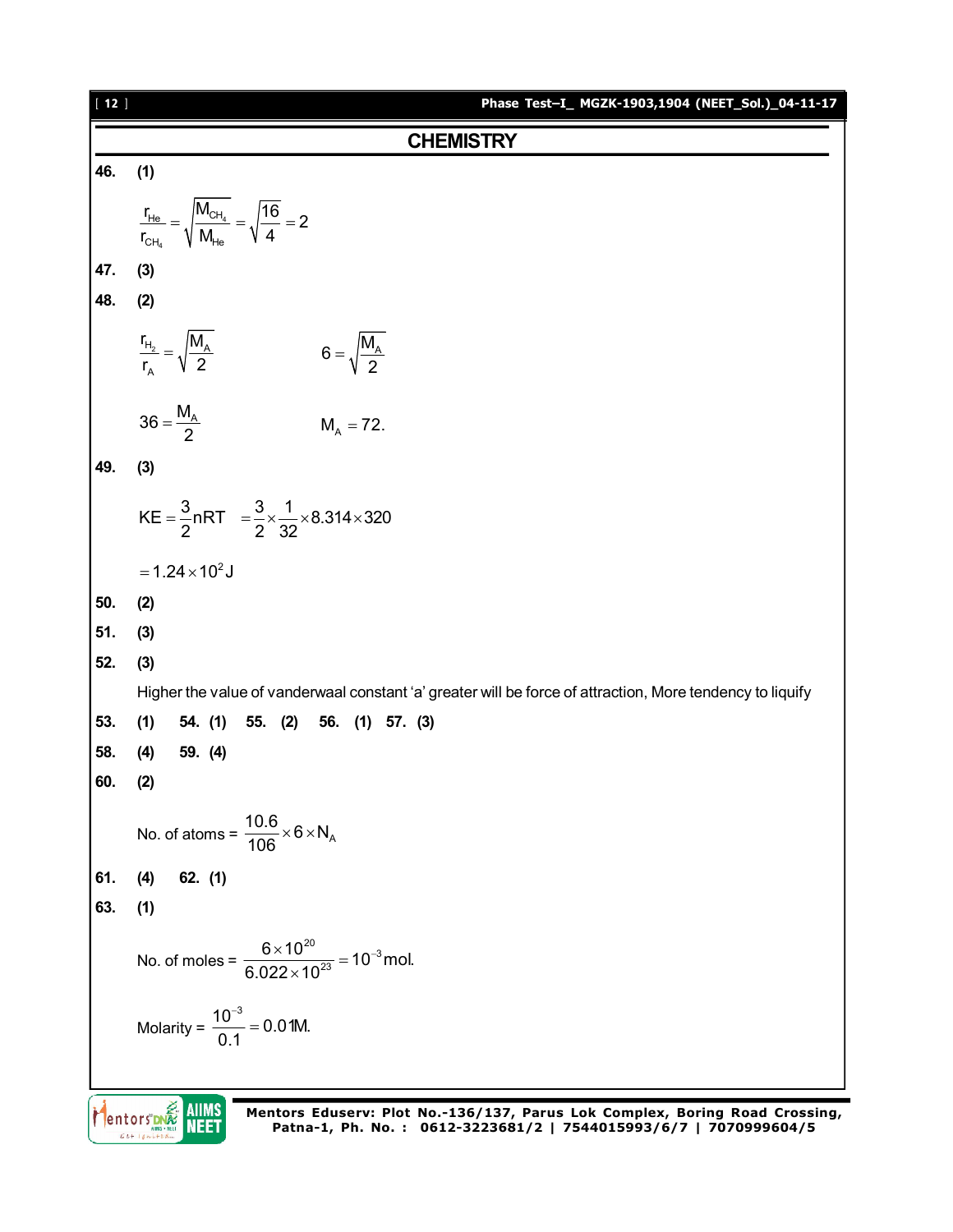| $[12]$ | Phase Test-I_ MGZK-1903,1904 (NEET_Sol.)_04-11-17                                                         |
|--------|-----------------------------------------------------------------------------------------------------------|
|        | <b>CHEMISTRY</b>                                                                                          |
| 46.    | (1)                                                                                                       |
|        | $\frac{r_{He}}{r_{CH_4}} = \sqrt{\frac{M_{CH_4}}{M_{He}}} = \sqrt{\frac{16}{4}} = 2$                      |
| 47.    | (3)                                                                                                       |
| 48.    | (2)                                                                                                       |
|        | $\frac{r_{H_2}}{r_A} = \sqrt{\frac{M_A}{2}}$<br>$6 = \sqrt{\frac{M_A}{2}}$                                |
|        | $36 = \frac{M_A}{2}$<br>$M_A = 72.$                                                                       |
| 49.    | (3)                                                                                                       |
|        | KE = $\frac{3}{2}$ nRT = $\frac{3}{2} \times \frac{1}{32} \times 8.314 \times 320$                        |
|        | $= 1.24 \times 10^2$ J                                                                                    |
| 50.    | (2)                                                                                                       |
| 51.    | (3)                                                                                                       |
| 52.    | (3)                                                                                                       |
|        | Higher the value of vanderwaal constant 'a' greater will be force of attraction, More tendency to liquify |
| 53.    | (1)<br>54. (1)<br>55. (2)<br>56. (1) 57. (3)                                                              |
| 58.    | 59. (4)<br>(4)                                                                                            |
| 60.    | (2)                                                                                                       |
|        | No. of atoms = $\frac{10.6}{106} \times 6 \times N_A$                                                     |
| 61.    | $62.$ (1)<br>(4)                                                                                          |
| 63.    | (1)                                                                                                       |
|        | No. of moles = $\frac{6 \times 10^{20}}{6.022 \times 10^{23}}$ = 10 <sup>-3</sup> mol.                    |
|        | Molarity = $\frac{10^{-3}}{0.1}$ = 0.01M.                                                                 |
|        |                                                                                                           |